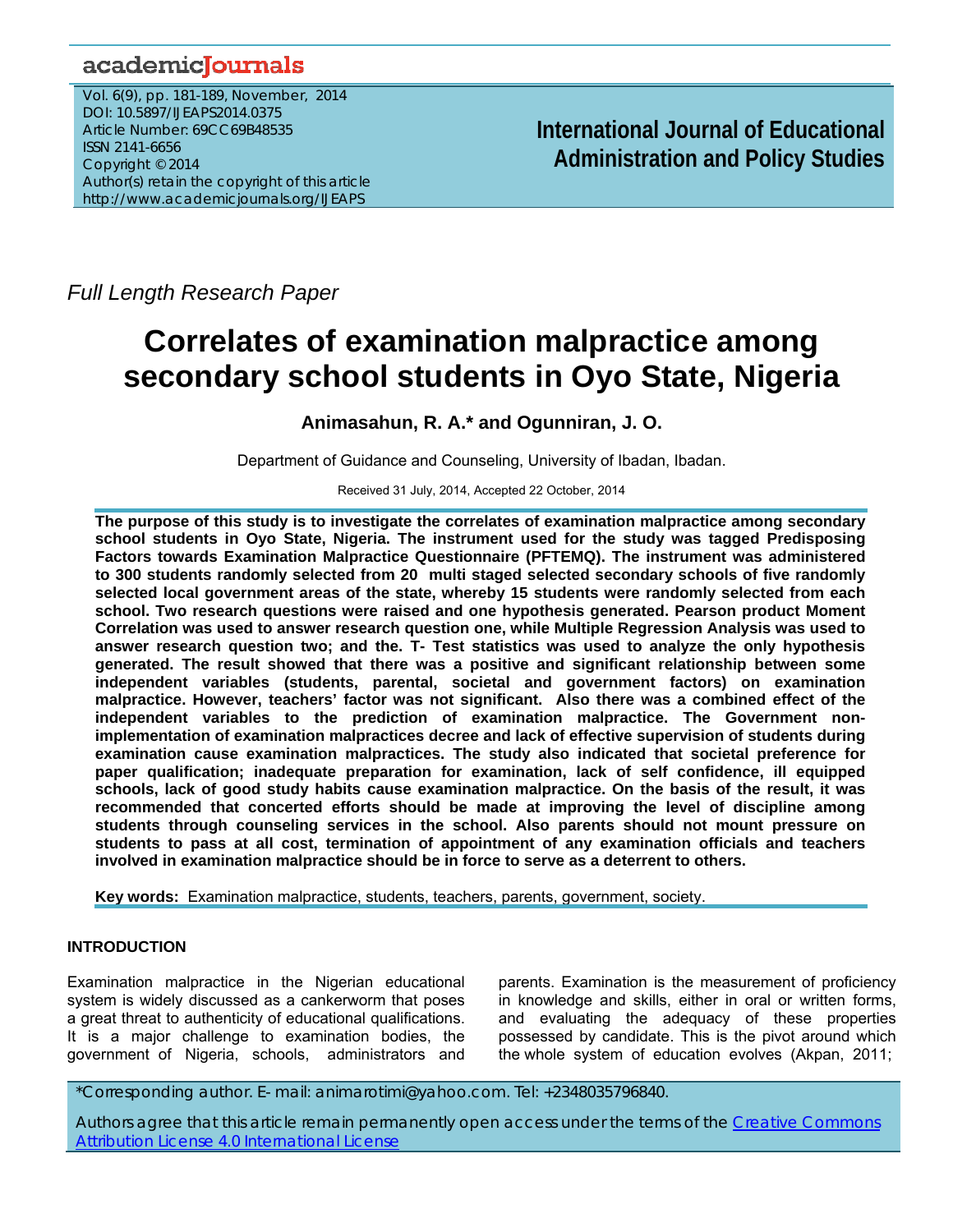## academicJournals

Vol. 6(9), pp. 181-189, November, 2014 DOI: 10.5897/IJEAPS2014.0375 Article Number: 69CC69B48535 ISSN 2141-6656 Copyright © 2014 Author(s) retain the copyright of this article http://www.academicjournals.org/IJEAPS

**International Journal of Educational Administration and Policy Studies**

*Full Length Research Paper*

# **Correlates of examination malpractice among secondary school students in Oyo State, Nigeria**

## **Animasahun, R. A.\* and Ogunniran, J. O.**

Department of Guidance and Counseling, University of Ibadan, Ibadan.

Received 31 July, 2014, Accepted 22 October, 2014

**The purpose of this study is to investigate the correlates of examination malpractice among secondary school students in Oyo State, Nigeria. The instrument used for the study was tagged Predisposing Factors towards Examination Malpractice Questionnaire (PFTEMQ). The instrument was administered to 300 students randomly selected from 20 multi staged selected secondary schools of five randomly selected local government areas of the state, whereby 15 students were randomly selected from each school. Two research questions were raised and one hypothesis generated. Pearson product Moment Correlation was used to answer research question one, while Multiple Regression Analysis was used to answer research question two; and the. T- Test statistics was used to analyze the only hypothesis generated. The result showed that there was a positive and significant relationship between some independent variables (students, parental, societal and government factors) on examination malpractice. However, teachers' factor was not significant. Also there was a combined effect of the independent variables to the prediction of examination malpractice. The Government nonimplementation of examination malpractices decree and lack of effective supervision of students during examination cause examination malpractices. The study also indicated that societal preference for paper qualification; inadequate preparation for examination, lack of self confidence, ill equipped schools, lack of good study habits cause examination malpractice. On the basis of the result, it was recommended that concerted efforts should be made at improving the level of discipline among students through counseling services in the school. Also parents should not mount pressure on students to pass at all cost, termination of appointment of any examination officials and teachers involved in examination malpractice should be in force to serve as a deterrent to others.** 

**Key words:** Examination malpractice, students, teachers, parents, government, society.

## **INTRODUCTION**

Examination malpractice in the Nigerian educational system is widely discussed as a cankerworm that poses a great threat to authenticity of educational qualifications. It is a major challenge to examination bodies, the government of Nigeria, schools, administrators and parents. Examination is the measurement of proficiency in knowledge and skills, either in oral or written forms, and evaluating the adequacy of these properties possessed by candidate. This is the pivot around which the whole system of education evolves (Akpan, 2011;

\*Corresponding author. E- mail: animarotimi@yahoo.com. Tel: +2348035796840.

Authors agree that this article remain permanently open access under the terms of the Creative Commons Attribution License 4.0 International License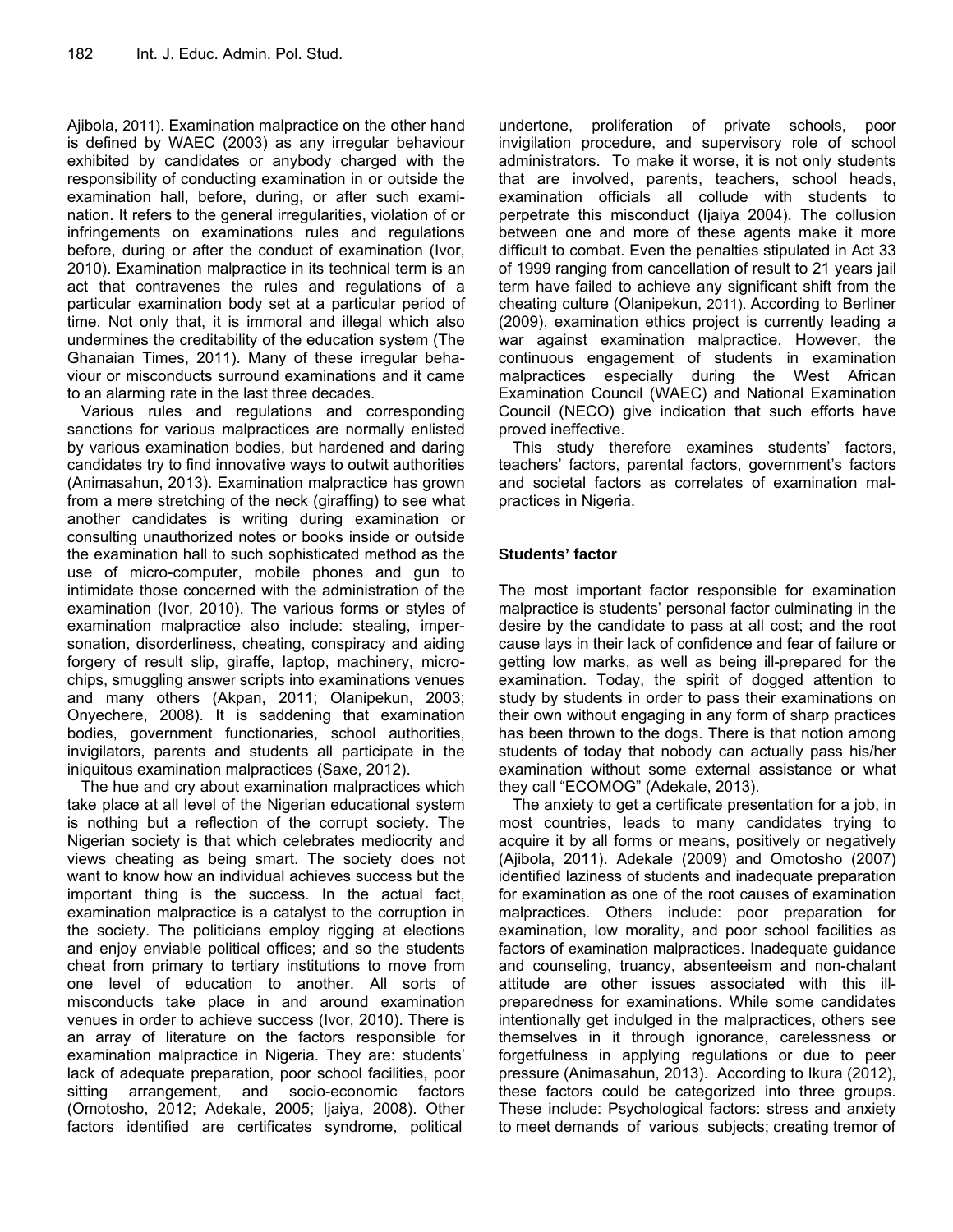Ajibola, 2011). Examination malpractice on the other hand is defined by WAEC (2003) as any irregular behaviour exhibited by candidates or anybody charged with the responsibility of conducting examination in or outside the examination hall, before, during, or after such examination. It refers to the general irregularities, violation of or infringements on examinations rules and regulations before, during or after the conduct of examination (Ivor, 2010). Examination malpractice in its technical term is an act that contravenes the rules and regulations of a particular examination body set at a particular period of time. Not only that, it is immoral and illegal which also undermines the creditability of the education system (The Ghanaian Times, 2011). Many of these irregular behaviour or misconducts surround examinations and it came to an alarming rate in the last three decades.

Various rules and regulations and corresponding sanctions for various malpractices are normally enlisted by various examination bodies, but hardened and daring candidates try to find innovative ways to outwit authorities (Animasahun, 2013). Examination malpractice has grown from a mere stretching of the neck (giraffing) to see what another candidates is writing during examination or consulting unauthorized notes or books inside or outside the examination hall to such sophisticated method as the use of micro-computer, mobile phones and gun to intimidate those concerned with the administration of the examination (Ivor, 2010). The various forms or styles of examination malpractice also include: stealing, impersonation, disorderliness, cheating, conspiracy and aiding forgery of result slip, giraffe, laptop, machinery, microchips, smuggling answer scripts into examinations venues and many others (Akpan, 2011; Olanipekun, 2003; Onyechere, 2008). It is saddening that examination bodies, government functionaries, school authorities, invigilators, parents and students all participate in the iniquitous examination malpractices (Saxe, 2012).

The hue and cry about examination malpractices which take place at all level of the Nigerian educational system is nothing but a reflection of the corrupt society. The Nigerian society is that which celebrates mediocrity and views cheating as being smart. The society does not want to know how an individual achieves success but the important thing is the success. In the actual fact, examination malpractice is a catalyst to the corruption in the society. The politicians employ rigging at elections and enjoy enviable political offices; and so the students cheat from primary to tertiary institutions to move from one level of education to another. All sorts of misconducts take place in and around examination venues in order to achieve success (Ivor, 2010). There is an array of literature on the factors responsible for examination malpractice in Nigeria. They are: students' lack of adequate preparation, poor school facilities, poor sitting arrangement, and socio-economic factors (Omotosho, 2012; Adekale, 2005; Ijaiya, 2008). Other factors identified are certificates syndrome, political

undertone, proliferation of private schools, poor invigilation procedure, and supervisory role of school administrators. To make it worse, it is not only students that are involved, parents, teachers, school heads, examination officials all collude with students to perpetrate this misconduct (Ijaiya 2004). The collusion between one and more of these agents make it more difficult to combat. Even the penalties stipulated in Act 33 of 1999 ranging from cancellation of result to 21 years jail term have failed to achieve any significant shift from the cheating culture (Olanipekun, 2011). According to Berliner (2009), examination ethics project is currently leading a war against examination malpractice. However, the continuous engagement of students in examination malpractices especially during the West African Examination Council (WAEC) and National Examination Council (NECO) give indication that such efforts have proved ineffective.

This study therefore examines students' factors, teachers' factors, parental factors, government's factors and societal factors as correlates of examination malpractices in Nigeria.

## **Students' factor**

The most important factor responsible for examination malpractice is students' personal factor culminating in the desire by the candidate to pass at all cost; and the root cause lays in their lack of confidence and fear of failure or getting low marks, as well as being ill-prepared for the examination. Today, the spirit of dogged attention to study by students in order to pass their examinations on their own without engaging in any form of sharp practices has been thrown to the dogs. There is that notion among students of today that nobody can actually pass his/her examination without some external assistance or what they call "ECOMOG" (Adekale, 2013).

The anxiety to get a certificate presentation for a job, in most countries, leads to many candidates trying to acquire it by all forms or means, positively or negatively (Ajibola, 2011). Adekale (2009) and Omotosho (2007) identified laziness of students and inadequate preparation for examination as one of the root causes of examination malpractices. Others include: poor preparation for examination, low morality, and poor school facilities as factors of examination malpractices. Inadequate guidance and counseling, truancy, absenteeism and non-chalant attitude are other issues associated with this illpreparedness for examinations. While some candidates intentionally get indulged in the malpractices, others see themselves in it through ignorance, carelessness or forgetfulness in applying regulations or due to peer pressure (Animasahun, 2013). According to Ikura (2012), these factors could be categorized into three groups. These include: Psychological factors: stress and anxiety to meet demands of various subjects; creating tremor of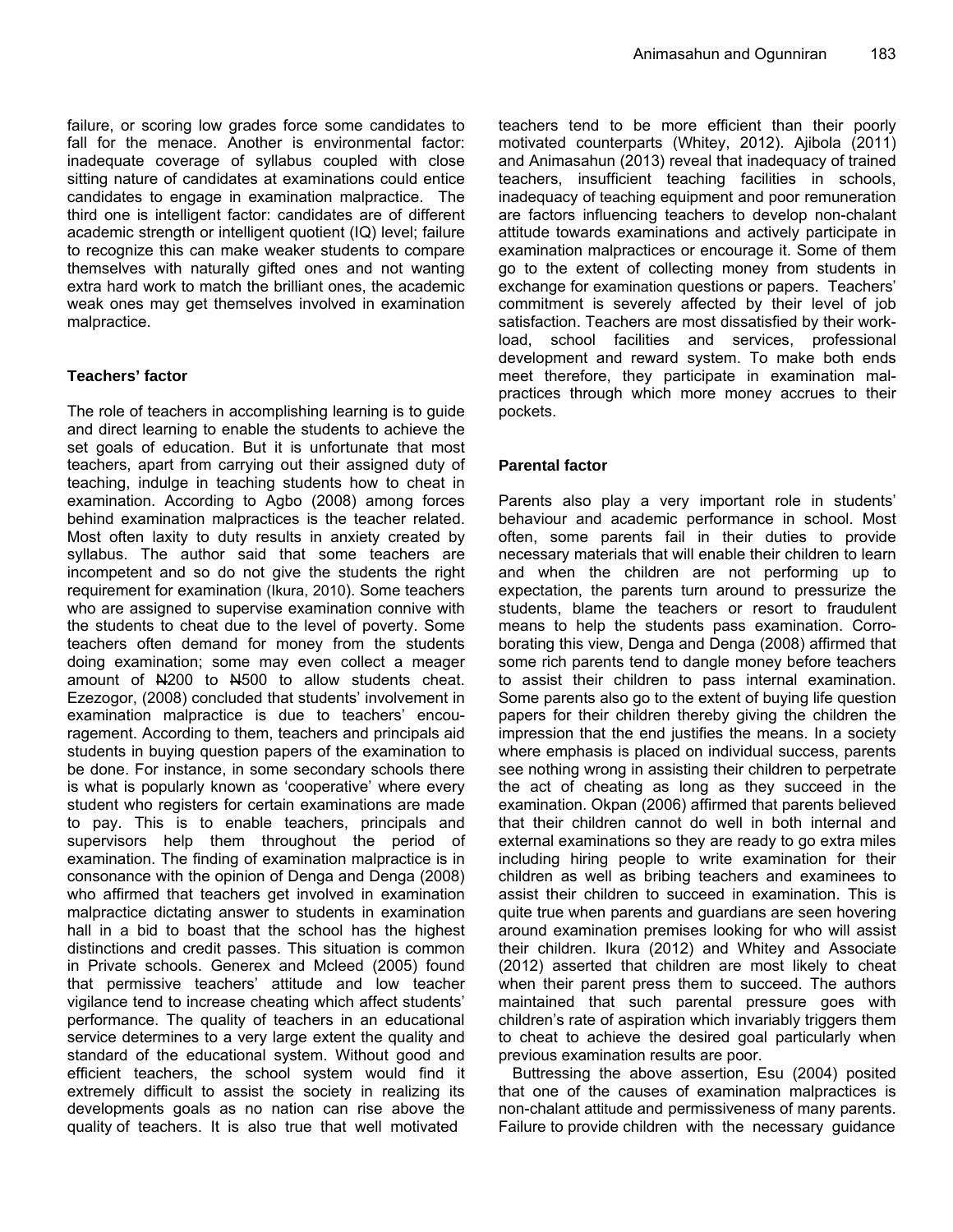failure, or scoring low grades force some candidates to fall for the menace. Another is environmental factor: inadequate coverage of syllabus coupled with close sitting nature of candidates at examinations could entice candidates to engage in examination malpractice. The third one is intelligent factor: candidates are of different academic strength or intelligent quotient (IQ) level; failure to recognize this can make weaker students to compare themselves with naturally gifted ones and not wanting extra hard work to match the brilliant ones, the academic weak ones may get themselves involved in examination malpractice.

## **Teachers' factor**

The role of teachers in accomplishing learning is to guide and direct learning to enable the students to achieve the set goals of education. But it is unfortunate that most teachers, apart from carrying out their assigned duty of teaching, indulge in teaching students how to cheat in examination. According to Agbo (2008) among forces behind examination malpractices is the teacher related. Most often laxity to duty results in anxiety created by syllabus. The author said that some teachers are incompetent and so do not give the students the right requirement for examination (Ikura, 2010). Some teachers who are assigned to supervise examination connive with the students to cheat due to the level of poverty. Some teachers often demand for money from the students doing examination; some may even collect a meager amount of N200 to N500 to allow students cheat. Ezezogor, (2008) concluded that students' involvement in examination malpractice is due to teachers' encouragement. According to them, teachers and principals aid students in buying question papers of the examination to be done. For instance, in some secondary schools there is what is popularly known as 'cooperative' where every student who registers for certain examinations are made to pay. This is to enable teachers, principals and supervisors help them throughout the period of examination. The finding of examination malpractice is in consonance with the opinion of Denga and Denga (2008) who affirmed that teachers get involved in examination malpractice dictating answer to students in examination hall in a bid to boast that the school has the highest distinctions and credit passes. This situation is common in Private schools. Generex and Mcleed (2005) found that permissive teachers' attitude and low teacher vigilance tend to increase cheating which affect students' performance. The quality of teachers in an educational service determines to a very large extent the quality and standard of the educational system. Without good and efficient teachers, the school system would find it extremely difficult to assist the society in realizing its developments goals as no nation can rise above the quality of teachers. It is also true that well motivated

teachers tend to be more efficient than their poorly motivated counterparts (Whitey, 2012). Ajibola (2011) and Animasahun (2013) reveal that inadequacy of trained teachers, insufficient teaching facilities in schools, inadequacy of teaching equipment and poor remuneration are factors influencing teachers to develop non-chalant attitude towards examinations and actively participate in examination malpractices or encourage it. Some of them go to the extent of collecting money from students in exchange for examination questions or papers. Teachers' commitment is severely affected by their level of job satisfaction. Teachers are most dissatisfied by their workload, school facilities and services, professional development and reward system. To make both ends meet therefore, they participate in examination malpractices through which more money accrues to their pockets.

## **Parental factor**

Parents also play a very important role in students' behaviour and academic performance in school. Most often, some parents fail in their duties to provide necessary materials that will enable their children to learn and when the children are not performing up to expectation, the parents turn around to pressurize the students, blame the teachers or resort to fraudulent means to help the students pass examination. Corroborating this view, Denga and Denga (2008) affirmed that some rich parents tend to dangle money before teachers to assist their children to pass internal examination. Some parents also go to the extent of buying life question papers for their children thereby giving the children the impression that the end justifies the means. In a society where emphasis is placed on individual success, parents see nothing wrong in assisting their children to perpetrate the act of cheating as long as they succeed in the examination. Okpan (2006) affirmed that parents believed that their children cannot do well in both internal and external examinations so they are ready to go extra miles including hiring people to write examination for their children as well as bribing teachers and examinees to assist their children to succeed in examination. This is quite true when parents and guardians are seen hovering around examination premises looking for who will assist their children. Ikura (2012) and Whitey and Associate (2012) asserted that children are most likely to cheat when their parent press them to succeed. The authors maintained that such parental pressure goes with children's rate of aspiration which invariably triggers them to cheat to achieve the desired goal particularly when previous examination results are poor.

Buttressing the above assertion, Esu (2004) posited that one of the causes of examination malpractices is non-chalant attitude and permissiveness of many parents. Failure to provide children with the necessary guidance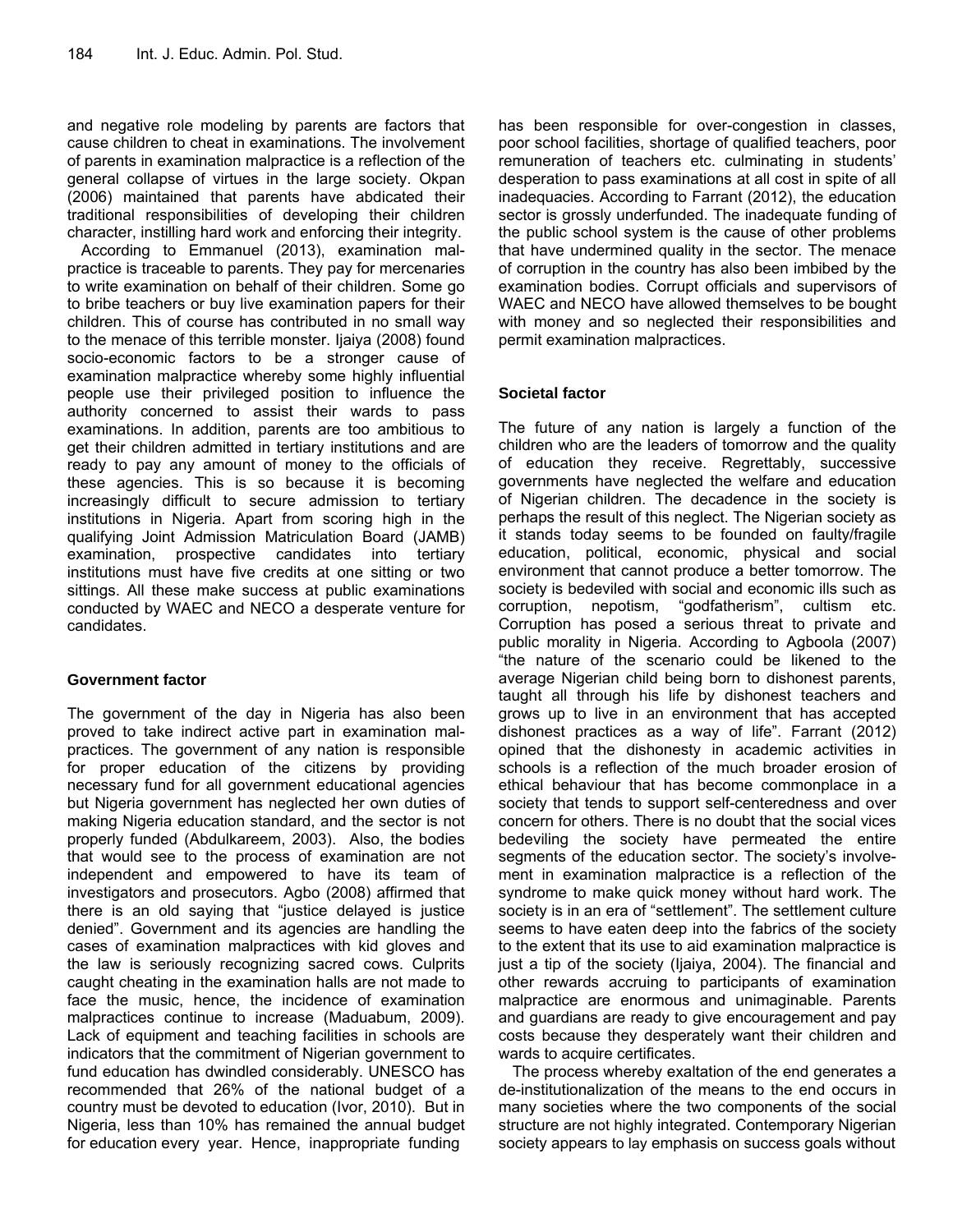and negative role modeling by parents are factors that cause children to cheat in examinations. The involvement of parents in examination malpractice is a reflection of the general collapse of virtues in the large society. Okpan (2006) maintained that parents have abdicated their traditional responsibilities of developing their children character, instilling hard work and enforcing their integrity.

According to Emmanuel (2013), examination malpractice is traceable to parents. They pay for mercenaries to write examination on behalf of their children. Some go to bribe teachers or buy live examination papers for their children. This of course has contributed in no small way to the menace of this terrible monster. Ijaiya (2008) found socio-economic factors to be a stronger cause of examination malpractice whereby some highly influential people use their privileged position to influence the authority concerned to assist their wards to pass examinations. In addition, parents are too ambitious to get their children admitted in tertiary institutions and are ready to pay any amount of money to the officials of these agencies. This is so because it is becoming increasingly difficult to secure admission to tertiary institutions in Nigeria. Apart from scoring high in the qualifying Joint Admission Matriculation Board (JAMB) examination, prospective candidates into tertiary institutions must have five credits at one sitting or two sittings. All these make success at public examinations conducted by WAEC and NECO a desperate venture for candidates.

## **Government factor**

The government of the day in Nigeria has also been proved to take indirect active part in examination malpractices. The government of any nation is responsible for proper education of the citizens by providing necessary fund for all government educational agencies but Nigeria government has neglected her own duties of making Nigeria education standard, and the sector is not properly funded (Abdulkareem, 2003). Also, the bodies that would see to the process of examination are not independent and empowered to have its team of investigators and prosecutors. Agbo (2008) affirmed that there is an old saying that "justice delayed is justice denied". Government and its agencies are handling the cases of examination malpractices with kid gloves and the law is seriously recognizing sacred cows. Culprits caught cheating in the examination halls are not made to face the music, hence, the incidence of examination malpractices continue to increase (Maduabum, 2009). Lack of equipment and teaching facilities in schools are indicators that the commitment of Nigerian government to fund education has dwindled considerably. UNESCO has recommended that 26% of the national budget of a country must be devoted to education (Ivor, 2010). But in Nigeria, less than 10% has remained the annual budget for education every year. Hence, inappropriate funding

has been responsible for over-congestion in classes, poor school facilities, shortage of qualified teachers, poor remuneration of teachers etc. culminating in students' desperation to pass examinations at all cost in spite of all inadequacies. According to Farrant (2012), the education sector is grossly underfunded. The inadequate funding of the public school system is the cause of other problems that have undermined quality in the sector. The menace of corruption in the country has also been imbibed by the examination bodies. Corrupt officials and supervisors of WAEC and NECO have allowed themselves to be bought with money and so neglected their responsibilities and permit examination malpractices.

## **Societal factor**

The future of any nation is largely a function of the children who are the leaders of tomorrow and the quality of education they receive. Regrettably, successive governments have neglected the welfare and education of Nigerian children. The decadence in the society is perhaps the result of this neglect. The Nigerian society as it stands today seems to be founded on faulty/fragile education, political, economic, physical and social environment that cannot produce a better tomorrow. The society is bedeviled with social and economic ills such as corruption, nepotism, "godfatherism", cultism etc. Corruption has posed a serious threat to private and public morality in Nigeria. According to Agboola (2007) "the nature of the scenario could be likened to the average Nigerian child being born to dishonest parents, taught all through his life by dishonest teachers and grows up to live in an environment that has accepted dishonest practices as a way of life". Farrant (2012) opined that the dishonesty in academic activities in schools is a reflection of the much broader erosion of ethical behaviour that has become commonplace in a society that tends to support self-centeredness and over concern for others. There is no doubt that the social vices bedeviling the society have permeated the entire segments of the education sector. The society's involvement in examination malpractice is a reflection of the syndrome to make quick money without hard work. The society is in an era of "settlement". The settlement culture seems to have eaten deep into the fabrics of the society to the extent that its use to aid examination malpractice is just a tip of the society (Ijaiya, 2004). The financial and other rewards accruing to participants of examination malpractice are enormous and unimaginable. Parents and guardians are ready to give encouragement and pay costs because they desperately want their children and wards to acquire certificates.

The process whereby exaltation of the end generates a de-institutionalization of the means to the end occurs in many societies where the two components of the social structure are not highly integrated. Contemporary Nigerian society appears to lay emphasis on success goals without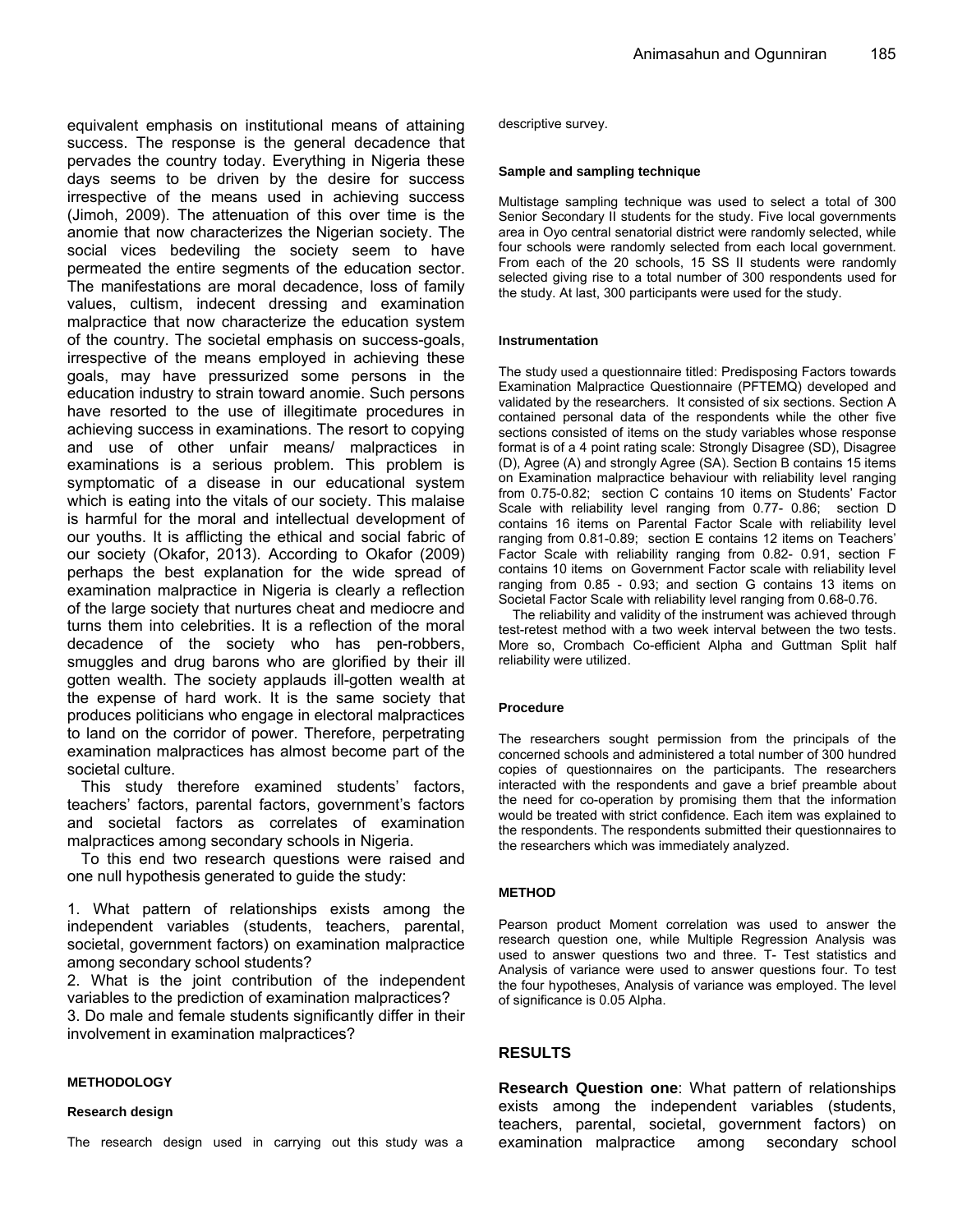equivalent emphasis on institutional means of attaining success. The response is the general decadence that pervades the country today. Everything in Nigeria these days seems to be driven by the desire for success irrespective of the means used in achieving success (Jimoh, 2009). The attenuation of this over time is the anomie that now characterizes the Nigerian society. The social vices bedeviling the society seem to have permeated the entire segments of the education sector. The manifestations are moral decadence, loss of family values, cultism, indecent dressing and examination malpractice that now characterize the education system of the country. The societal emphasis on success-goals, irrespective of the means employed in achieving these goals, may have pressurized some persons in the education industry to strain toward anomie. Such persons have resorted to the use of illegitimate procedures in achieving success in examinations. The resort to copying and use of other unfair means/ malpractices in examinations is a serious problem. This problem is symptomatic of a disease in our educational system which is eating into the vitals of our society. This malaise is harmful for the moral and intellectual development of our youths. It is afflicting the ethical and social fabric of our society (Okafor, 2013). According to Okafor (2009) perhaps the best explanation for the wide spread of examination malpractice in Nigeria is clearly a reflection of the large society that nurtures cheat and mediocre and turns them into celebrities. It is a reflection of the moral decadence of the society who has pen-robbers, smuggles and drug barons who are glorified by their ill gotten wealth. The society applauds ill-gotten wealth at the expense of hard work. It is the same society that produces politicians who engage in electoral malpractices to land on the corridor of power. Therefore, perpetrating examination malpractices has almost become part of the societal culture.

This study therefore examined students' factors, teachers' factors, parental factors, government's factors and societal factors as correlates of examination malpractices among secondary schools in Nigeria.

To this end two research questions were raised and one null hypothesis generated to guide the study:

1. What pattern of relationships exists among the independent variables (students, teachers, parental, societal, government factors) on examination malpractice among secondary school students?

2. What is the joint contribution of the independent variables to the prediction of examination malpractices?

3. Do male and female students significantly differ in their involvement in examination malpractices?

#### **METHODOLOGY**

#### **Research design**

descriptive survey.

#### **Sample and sampling technique**

Multistage sampling technique was used to select a total of 300 Senior Secondary II students for the study. Five local governments area in Oyo central senatorial district were randomly selected, while four schools were randomly selected from each local government. From each of the 20 schools, 15 SS II students were randomly selected giving rise to a total number of 300 respondents used for the study. At last, 300 participants were used for the study.

#### **Instrumentation**

The study used a questionnaire titled: Predisposing Factors towards Examination Malpractice Questionnaire (PFTEMQ) developed and validated by the researchers. It consisted of six sections. Section A contained personal data of the respondents while the other five sections consisted of items on the study variables whose response format is of a 4 point rating scale: Strongly Disagree (SD), Disagree (D), Agree (A) and strongly Agree (SA). Section B contains 15 items on Examination malpractice behaviour with reliability level ranging from 0.75-0.82; section C contains 10 items on Students' Factor Scale with reliability level ranging from 0.77- 0.86; section D contains 16 items on Parental Factor Scale with reliability level ranging from 0.81-0.89; section E contains 12 items on Teachers' Factor Scale with reliability ranging from 0.82- 0.91, section F contains 10 items on Government Factor scale with reliability level ranging from 0.85 - 0.93; and section G contains 13 items on Societal Factor Scale with reliability level ranging from 0.68-0.76.

The reliability and validity of the instrument was achieved through test-retest method with a two week interval between the two tests. More so, Crombach Co-efficient Alpha and Guttman Split half reliability were utilized.

#### **Procedure**

The researchers sought permission from the principals of the concerned schools and administered a total number of 300 hundred copies of questionnaires on the participants. The researchers interacted with the respondents and gave a brief preamble about the need for co-operation by promising them that the information would be treated with strict confidence. Each item was explained to the respondents. The respondents submitted their questionnaires to the researchers which was immediately analyzed.

#### **METHOD**

Pearson product Moment correlation was used to answer the research question one, while Multiple Regression Analysis was used to answer questions two and three. T- Test statistics and Analysis of variance were used to answer questions four. To test the four hypotheses, Analysis of variance was employed. The level of significance is 0.05 Alpha.

#### **RESULTS**

**Research Question one**: What pattern of relationships exists among the independent variables (students, teachers, parental, societal, government factors) on examination malpractice among secondary school

The research design used in carrying out this study was a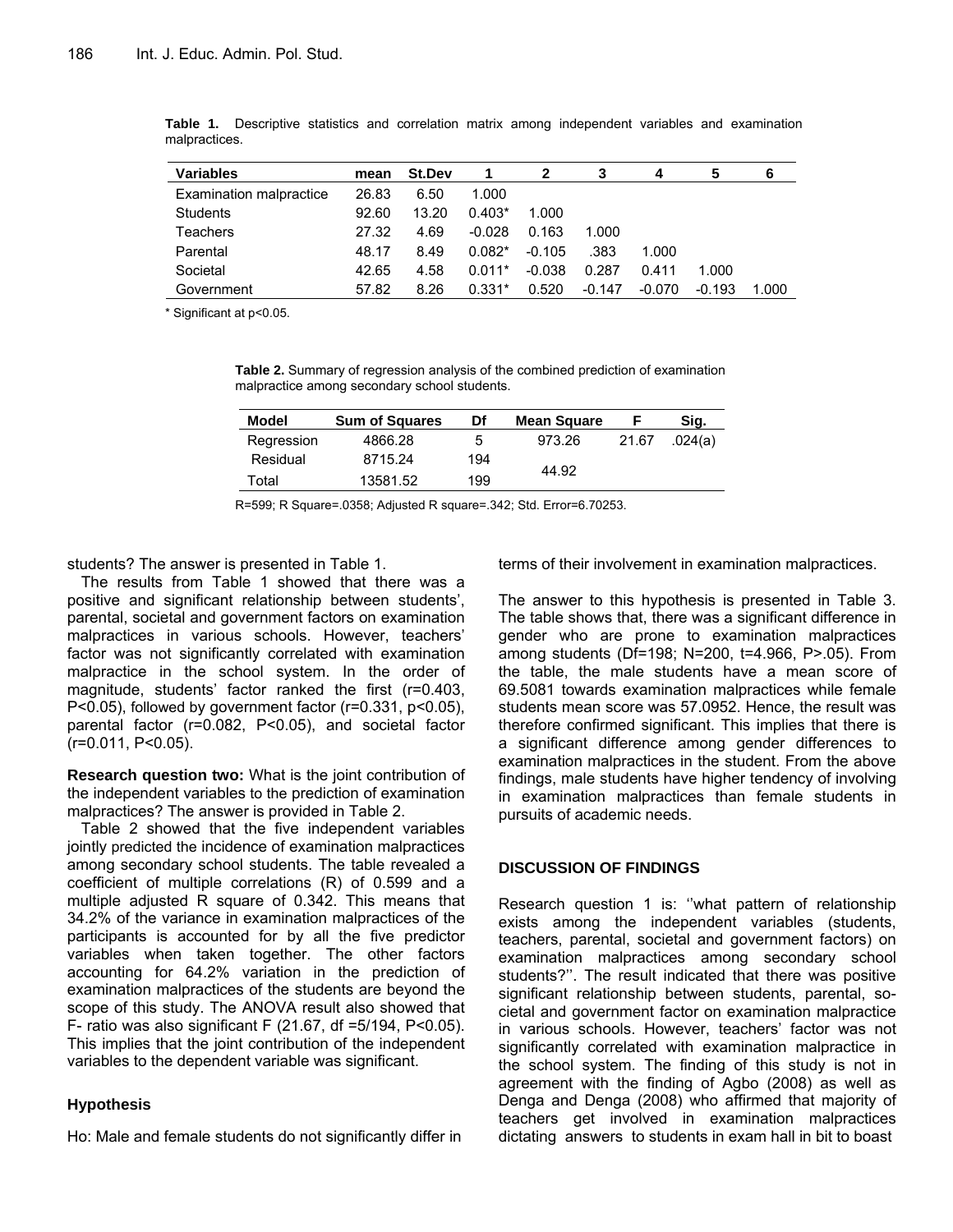| <b>Variables</b>        | mean  | St.Dev |          |          |          | 4        | 5        | 6     |
|-------------------------|-------|--------|----------|----------|----------|----------|----------|-------|
| Examination malpractice | 26.83 | 6.50   | 1.000    |          |          |          |          |       |
| Students                | 92.60 | 13.20  | $0.403*$ | 1.000    |          |          |          |       |
| Teachers                | 27.32 | 4.69   | $-0.028$ | 0.163    | 1.000    |          |          |       |
| Parental                | 48.17 | 8.49   | $0.082*$ | $-0.105$ | .383     | 1.000    |          |       |
| Societal                | 42.65 | 4.58   | $0.011*$ | $-0.038$ | 0.287    | 0.411    | 1.000    |       |
| Government              | 57.82 | 8.26   | $0.331*$ | 0.520    | $-0.147$ | $-0.070$ | $-0.193$ | 1.000 |

**Table 1.** Descriptive statistics and correlation matrix among independent variables and examination malpractices.

\* Significant at p<0.05.

**Table 2.** Summary of regression analysis of the combined prediction of examination malpractice among secondary school students.

| Model      | <b>Sum of Squares</b> | Df  | <b>Mean Square</b> |       | Sig.    |
|------------|-----------------------|-----|--------------------|-------|---------|
| Regression | 4866.28               | b   | 973.26             | 21.67 | .024(a) |
| Residual   | 8715.24               | 194 |                    |       |         |
| Total      | 13581.52              | 199 | 44.92              |       |         |

R=599; R Square=.0358; Adjusted R square=.342; Std. Error=6.70253.

students? The answer is presented in Table 1.

The results from Table 1 showed that there was a positive and significant relationship between students', parental, societal and government factors on examination malpractices in various schools. However, teachers' factor was not significantly correlated with examination malpractice in the school system. In the order of magnitude, students' factor ranked the first (r=0.403, P<0.05), followed by government factor (r=0.331, p<0.05), parental factor (r=0.082, P<0.05), and societal factor (r=0.011, P<0.05).

**Research question two:** What is the joint contribution of the independent variables to the prediction of examination malpractices? The answer is provided in Table 2.

Table 2 showed that the five independent variables jointly predicted the incidence of examination malpractices among secondary school students. The table revealed a coefficient of multiple correlations (R) of 0.599 and a multiple adjusted R square of 0.342. This means that 34.2% of the variance in examination malpractices of the participants is accounted for by all the five predictor variables when taken together. The other factors accounting for 64.2% variation in the prediction of examination malpractices of the students are beyond the scope of this study. The ANOVA result also showed that F- ratio was also significant F (21.67, df =5/194, P<0.05). This implies that the joint contribution of the independent variables to the dependent variable was significant.

## **Hypothesis**

Ho: Male and female students do not significantly differ in

terms of their involvement in examination malpractices.

The answer to this hypothesis is presented in Table 3. The table shows that, there was a significant difference in gender who are prone to examination malpractices among students (Df=198; N=200, t=4.966, P>.05). From the table, the male students have a mean score of 69.5081 towards examination malpractices while female students mean score was 57.0952. Hence, the result was therefore confirmed significant. This implies that there is a significant difference among gender differences to examination malpractices in the student. From the above findings, male students have higher tendency of involving in examination malpractices than female students in pursuits of academic needs.

### **DISCUSSION OF FINDINGS**

Research question 1 is: ''what pattern of relationship exists among the independent variables (students, teachers, parental, societal and government factors) on examination malpractices among secondary school students?''. The result indicated that there was positive significant relationship between students, parental, societal and government factor on examination malpractice in various schools. However, teachers' factor was not significantly correlated with examination malpractice in the school system. The finding of this study is not in agreement with the finding of Agbo (2008) as well as Denga and Denga (2008) who affirmed that majority of teachers get involved in examination malpractices dictating answers to students in exam hall in bit to boast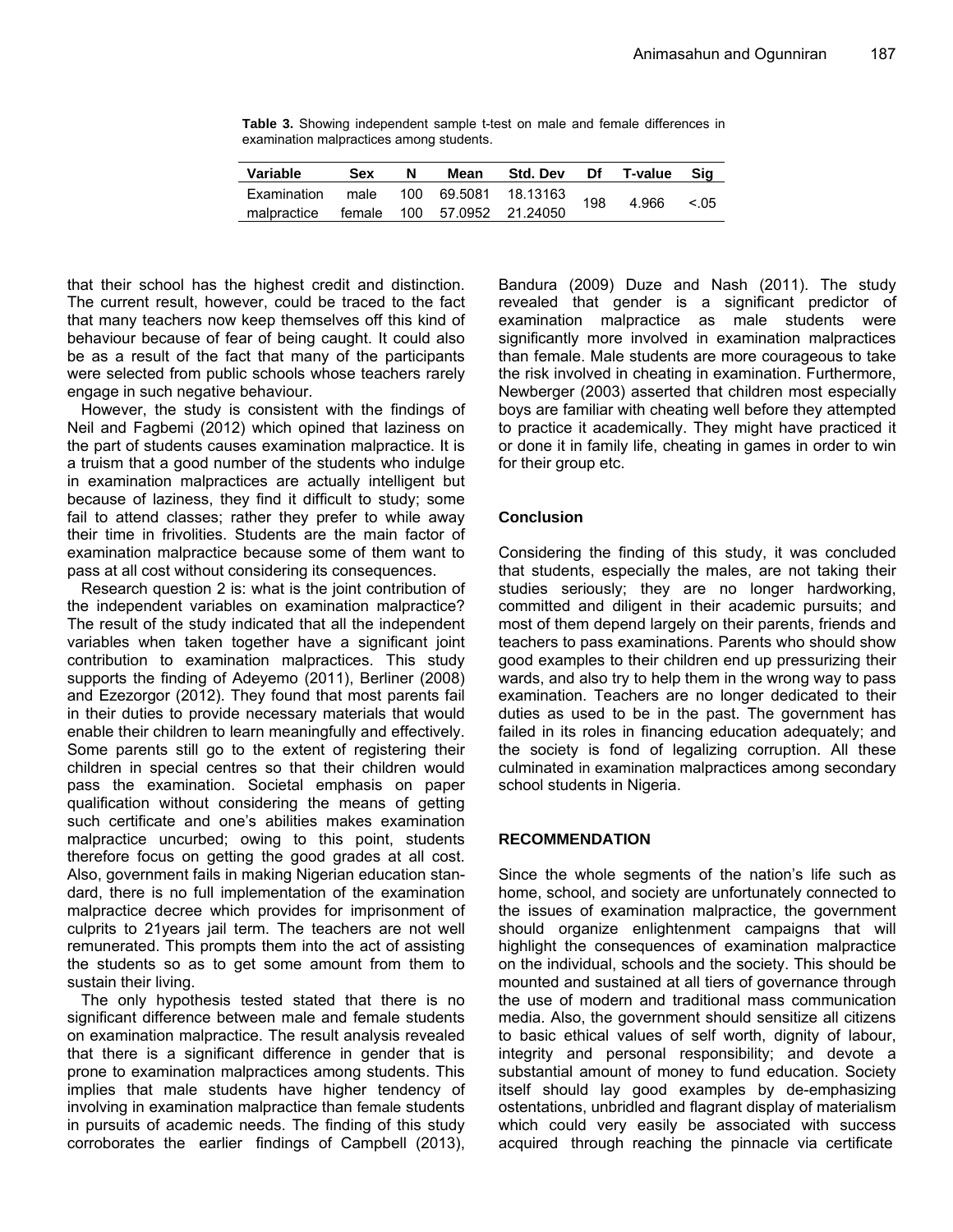**Table 3.** Showing independent sample t-test on male and female differences in examination malpractices among students.

| Variable                                | <b>Sex</b> | N | Mean | <b>Std. Dev</b>      | Df  | T-value | Sig    |
|-----------------------------------------|------------|---|------|----------------------|-----|---------|--------|
| Examination                             | male       |   |      | 100 69.5081 18.13163 | 198 | 4.966   | < 0.05 |
| malpractice female 100 57.0952 21.24050 |            |   |      |                      |     |         |        |

that their school has the highest credit and distinction. The current result, however, could be traced to the fact that many teachers now keep themselves off this kind of behaviour because of fear of being caught. It could also be as a result of the fact that many of the participants were selected from public schools whose teachers rarely engage in such negative behaviour.

However, the study is consistent with the findings of Neil and Fagbemi (2012) which opined that laziness on the part of students causes examination malpractice. It is a truism that a good number of the students who indulge in examination malpractices are actually intelligent but because of laziness, they find it difficult to study; some fail to attend classes; rather they prefer to while away their time in frivolities. Students are the main factor of examination malpractice because some of them want to pass at all cost without considering its consequences.

Research question 2 is: what is the joint contribution of the independent variables on examination malpractice? The result of the study indicated that all the independent variables when taken together have a significant joint contribution to examination malpractices. This study supports the finding of Adeyemo (2011), Berliner (2008) and Ezezorgor (2012). They found that most parents fail in their duties to provide necessary materials that would enable their children to learn meaningfully and effectively. Some parents still go to the extent of registering their children in special centres so that their children would pass the examination. Societal emphasis on paper qualification without considering the means of getting such certificate and one's abilities makes examination malpractice uncurbed; owing to this point, students therefore focus on getting the good grades at all cost. Also, government fails in making Nigerian education standard, there is no full implementation of the examination malpractice decree which provides for imprisonment of culprits to 21years jail term. The teachers are not well remunerated. This prompts them into the act of assisting the students so as to get some amount from them to sustain their living.

The only hypothesis tested stated that there is no significant difference between male and female students on examination malpractice. The result analysis revealed that there is a significant difference in gender that is prone to examination malpractices among students. This implies that male students have higher tendency of involving in examination malpractice than female students in pursuits of academic needs. The finding of this study corroborates the earlier findings of Campbell (2013),

Bandura (2009) Duze and Nash (2011). The study revealed that gender is a significant predictor of examination malpractice as male students were significantly more involved in examination malpractices than female. Male students are more courageous to take the risk involved in cheating in examination. Furthermore, Newberger (2003) asserted that children most especially boys are familiar with cheating well before they attempted to practice it academically. They might have practiced it or done it in family life, cheating in games in order to win for their group etc.

## **Conclusion**

Considering the finding of this study, it was concluded that students, especially the males, are not taking their studies seriously; they are no longer hardworking, committed and diligent in their academic pursuits; and most of them depend largely on their parents, friends and teachers to pass examinations. Parents who should show good examples to their children end up pressurizing their wards, and also try to help them in the wrong way to pass examination. Teachers are no longer dedicated to their duties as used to be in the past. The government has failed in its roles in financing education adequately; and the society is fond of legalizing corruption. All these culminated in examination malpractices among secondary school students in Nigeria.

## **RECOMMENDATION**

Since the whole segments of the nation's life such as home, school, and society are unfortunately connected to the issues of examination malpractice, the government should organize enlightenment campaigns that will highlight the consequences of examination malpractice on the individual, schools and the society. This should be mounted and sustained at all tiers of governance through the use of modern and traditional mass communication media. Also, the government should sensitize all citizens to basic ethical values of self worth, dignity of labour, integrity and personal responsibility; and devote a substantial amount of money to fund education. Society itself should lay good examples by de-emphasizing ostentations, unbridled and flagrant display of materialism which could very easily be associated with success acquired through reaching the pinnacle via certificate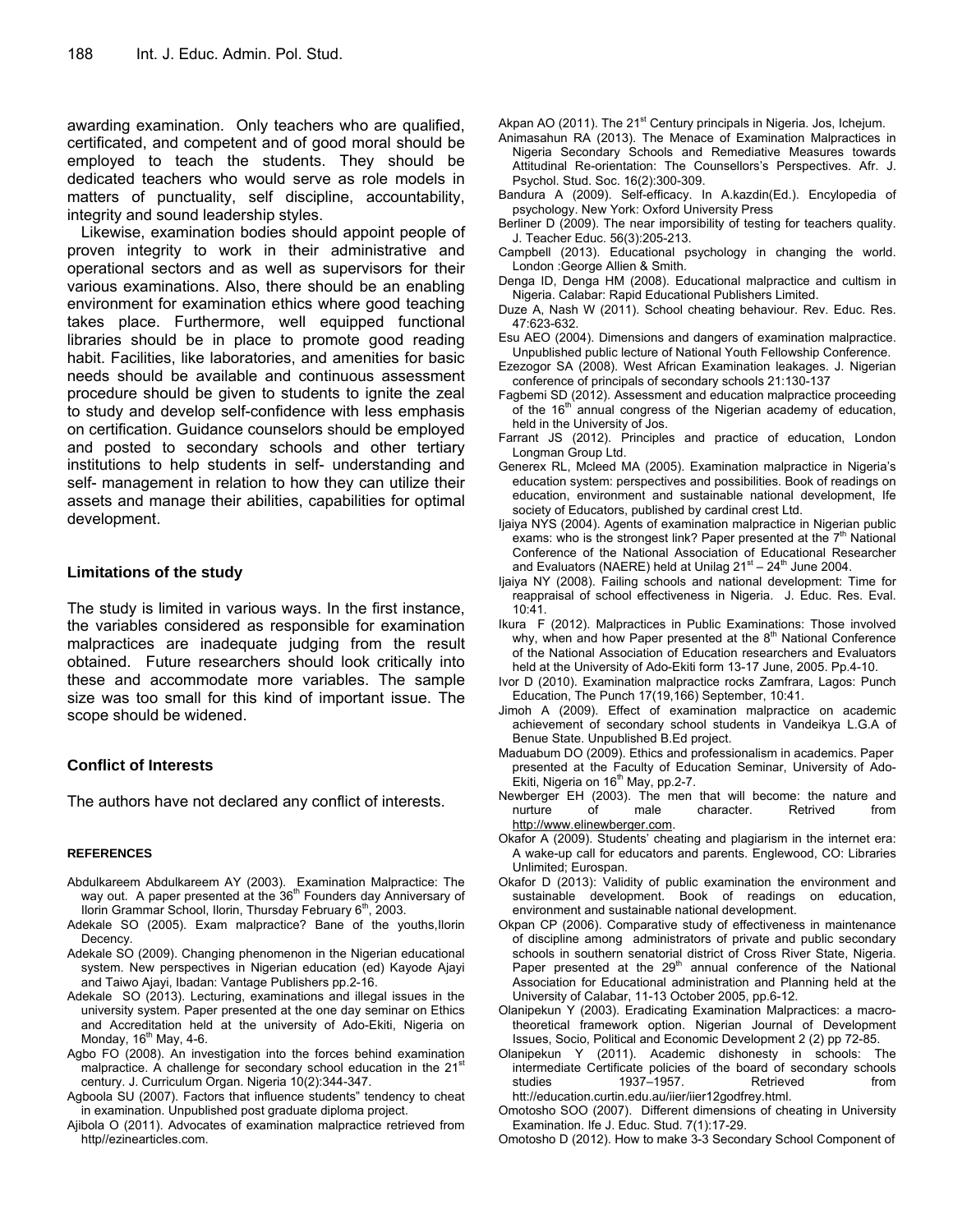awarding examination. Only teachers who are qualified, certificated, and competent and of good moral should be employed to teach the students. They should be dedicated teachers who would serve as role models in matters of punctuality, self discipline, accountability, integrity and sound leadership styles.

Likewise, examination bodies should appoint people of proven integrity to work in their administrative and operational sectors and as well as supervisors for their various examinations. Also, there should be an enabling environment for examination ethics where good teaching takes place. Furthermore, well equipped functional libraries should be in place to promote good reading habit. Facilities, like laboratories, and amenities for basic needs should be available and continuous assessment procedure should be given to students to ignite the zeal to study and develop self-confidence with less emphasis on certification. Guidance counselors should be employed and posted to secondary schools and other tertiary institutions to help students in self- understanding and self- management in relation to how they can utilize their assets and manage their abilities, capabilities for optimal development.

## **Limitations of the study**

The study is limited in various ways. In the first instance, the variables considered as responsible for examination malpractices are inadequate judging from the result obtained. Future researchers should look critically into these and accommodate more variables. The sample size was too small for this kind of important issue. The scope should be widened.

## **Conflict of Interests**

The authors have not declared any conflict of interests.

#### **REFERENCES**

- Abdulkareem Abdulkareem AY (2003). Examination Malpractice: The way out. A paper presented at the 36<sup>th</sup> Founders day Anniversary of Ilorin Grammar School, Ilorin, Thursday February  $6<sup>th</sup>$ , 2003.
- Adekale SO (2005). Exam malpractice? Bane of the youths,Ilorin Decency.
- Adekale SO (2009). Changing phenomenon in the Nigerian educational system. New perspectives in Nigerian education (ed) Kayode Ajayi and Taiwo Ajayi, Ibadan: Vantage Publishers pp.2-16.
- Adekale SO (2013). Lecturing, examinations and illegal issues in the university system. Paper presented at the one day seminar on Ethics and Accreditation held at the university of Ado-Ekiti, Nigeria on Monday,  $16<sup>th</sup>$  May, 4-6.
- Agbo FO (2008). An investigation into the forces behind examination malpractice. A challenge for secondary school education in the 21<sup>st</sup> century. J. Curriculum Organ. Nigeria 10(2):344-347.
- Agboola SU (2007). Factors that influence students" tendency to cheat in examination. Unpublished post graduate diploma project.
- Ajibola O (2011). Advocates of examination malpractice retrieved from http//ezinearticles.com.

Akpan AO (2011). The  $21<sup>st</sup>$  Century principals in Nigeria. Jos, Ichejum.

- Animasahun RA (2013). The Menace of Examination Malpractices in Nigeria Secondary Schools and Remediative Measures towards Attitudinal Re-orientation: The Counsellors's Perspectives. Afr. J. Psychol. Stud. Soc. 16(2):300-309.
- Bandura A (2009). Self-efficacy. In A.kazdin(Ed.). Encylopedia of psychology. New York: Oxford University Press
- Berliner D (2009). The near imporsibility of testing for teachers quality. J. Teacher Educ. 56(3):205-213.
- Campbell (2013). Educational psychology in changing the world. London :George Allien & Smith.
- Denga ID, Denga HM (2008). Educational malpractice and cultism in Nigeria. Calabar: Rapid Educational Publishers Limited.
- Duze A, Nash W (2011). School cheating behaviour. Rev. Educ. Res. 47:623-632.
- Esu AEO (2004). Dimensions and dangers of examination malpractice. Unpublished public lecture of National Youth Fellowship Conference.
- Ezezogor SA (2008). West African Examination leakages. J. Nigerian conference of principals of secondary schools 21:130-137
- Fagbemi SD (2012). Assessment and education malpractice proceeding of the  $16<sup>th</sup>$  annual congress of the Nigerian academy of education, held in the University of Jos.
- Farrant JS (2012). Principles and practice of education, London Longman Group Ltd.
- Generex RL, Mcleed MA (2005). Examination malpractice in Nigeria's education system: perspectives and possibilities. Book of readings on education, environment and sustainable national development, Ife society of Educators, published by cardinal crest Ltd.
- Ijaiya NYS (2004). Agents of examination malpractice in Nigerian public exams: who is the strongest link? Paper presented at the  $7<sup>th</sup>$  National Conference of the National Association of Educational Researcher and Evaluators (NAERE) held at Unilag  $21<sup>st</sup> - 24<sup>th</sup>$  June 2004.
- Ijaiya NY (2008). Failing schools and national development: Time for reappraisal of school effectiveness in Nigeria. J. Educ. Res. Eval. 10:41.
- Ikura F (2012). Malpractices in Public Examinations: Those involved why, when and how Paper presented at the  $8<sup>th</sup>$  National Conference of the National Association of Education researchers and Evaluators held at the University of Ado-Ekiti form 13-17 June, 2005. Pp.4-10.
- Ivor D (2010). Examination malpractice rocks Zamfrara, Lagos: Punch Education, The Punch 17(19,166) September, 10:41.
- Jimoh A (2009). Effect of examination malpractice on academic achievement of secondary school students in Vandeikya L.G.A of Benue State. Unpublished B.Ed project.
- Maduabum DO (2009). Ethics and professionalism in academics. Paper presented at the Faculty of Education Seminar, University of Ado-Ekiti, Nigeria on 16<sup>th</sup> May, pp.2-7.
- Newberger EH (2003). The men that will become: the nature and nurture of male character. Retrived from http://www.elinewberger.com.
- Okafor A (2009). Students' cheating and plagiarism in the internet era: A wake-up call for educators and parents. Englewood, CO: Libraries Unlimited; Eurospan.
- Okafor D (2013): Validity of public examination the environment and sustainable development. Book of readings on education, environment and sustainable national development.
- Okpan CP (2006). Comparative study of effectiveness in maintenance of discipline among administrators of private and public secondary schools in southern senatorial district of Cross River State, Nigeria.<br>Paper presented at the 29<sup>th</sup> annual conference of the National Association for Educational administration and Planning held at the University of Calabar, 11-13 October 2005, pp.6-12.
- Olanipekun Y (2003). Eradicating Examination Malpractices: a macrotheoretical framework option. Nigerian Journal of Development Issues, Socio, Political and Economic Development 2 (2) pp 72-85.
- Olanipekun Y (2011). Academic dishonesty in schools: The intermediate Certificate policies of the board of secondary schools studies 1937–1957. Retrieved from htt://education.curtin.edu.au/iier/iier12godfrey.html.
- Omotosho SOO (2007). Different dimensions of cheating in University Examination. Ife J. Educ. Stud. 7(1):17-29.
- Omotosho D (2012). How to make 3-3 Secondary School Component of